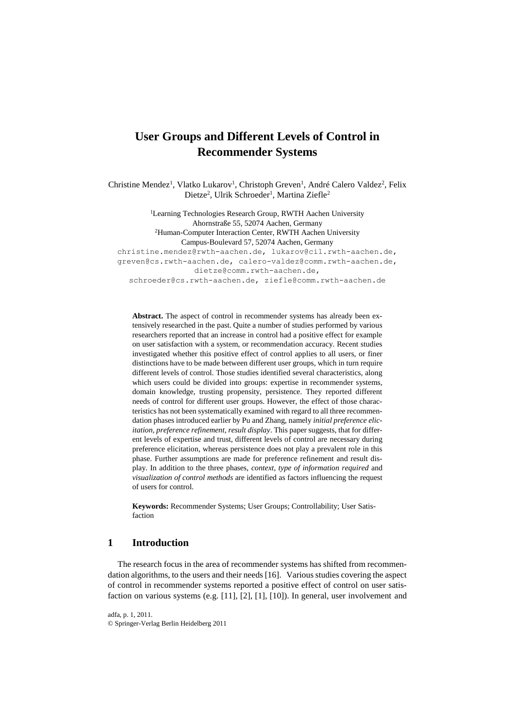# **User Groups and Different Levels of Control in Recommender Systems**

Christine Mendez<sup>1</sup>, Vlatko Lukarov<sup>1</sup>, Christoph Greven<sup>1</sup>, André Calero Valdez<sup>2</sup>, Felix Dietze<sup>2</sup>, Ulrik Schroeder<sup>1</sup>, Martina Ziefle<sup>2</sup>

<sup>1</sup>Learning Technologies Research Group, RWTH Aachen University Ahornstraße 55, 52074 Aachen, Germany <sup>2</sup>Human-Computer Interaction Center, RWTH Aachen University Campus-Boulevard 57, 52074 Aachen, Germany [christine.mendez@rwth-aachen.de,](mailto:christine.mendez@rwth-aachen.de) [lukarov@cil.rwth-aachen.de,](mailto:lukarov@cil.rwth-aachen.de)

[greven@cs.rwth-aachen.de,](mailto:greven@cs.rwth-aachen.de) [calero-valdez@comm.rwth-aachen.de,](mailto:calero-valdez@comm.rwth-aachen.de) [dietze@comm.rwth-aachen.de,](mailto:dietze@comm.rwth-aachen.de) [schroeder@cs.rwth-aachen.de,](mailto:schroeder@cs.rwth-aachen.de) ziefle@comm.rwth-aachen.de

**Abstract.** The aspect of control in recommender systems has already been extensively researched in the past. Quite a number of studies performed by various researchers reported that an increase in control had a positive effect for example on user satisfaction with a system, or recommendation accuracy. Recent studies investigated whether this positive effect of control applies to all users, or finer distinctions have to be made between different user groups, which in turn require different levels of control. Those studies identified several characteristics, along which users could be divided into groups: expertise in recommender systems, domain knowledge, trusting propensity, persistence. They reported different needs of control for different user groups. However, the effect of those characteristics has not been systematically examined with regard to all three recommendation phases introduced earlier by Pu and Zhang, namely *initial preference elicitation, preference refinement, result display*. This paper suggests, that for different levels of expertise and trust, different levels of control are necessary during preference elicitation, whereas persistence does not play a prevalent role in this phase. Further assumptions are made for preference refinement and result display. In addition to the three phases, *context*, *type of information required* and *visualization of control methods* are identified as factors influencing the request of users for control.

**Keywords:** Recommender Systems; User Groups; Controllability; User Satisfaction

# **1 Introduction**

The research focus in the area of recommender systems has shifted from recommendation algorithms, to the users and their needs [16]. Various studies covering the aspect of control in recommender systems reported a positive effect of control on user satisfaction on various systems (e.g. [11], [2], [1], [10]). In general, user involvement and

adfa, p. 1, 2011. © Springer-Verlag Berlin Heidelberg 2011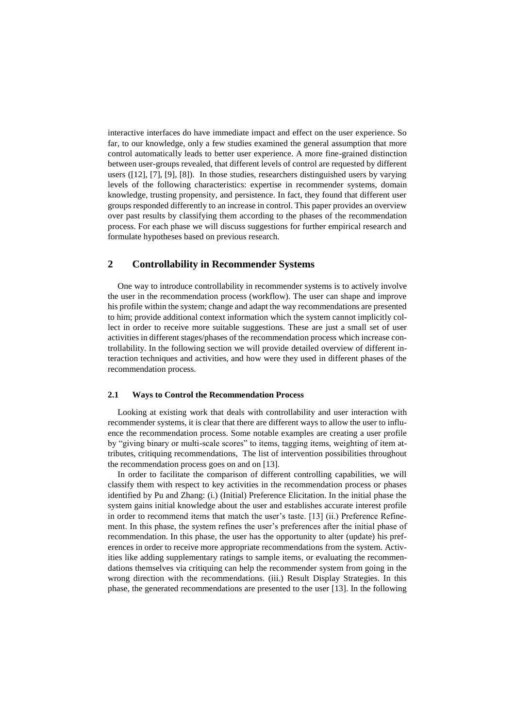interactive interfaces do have immediate impact and effect on the user experience. So far, to our knowledge, only a few studies examined the general assumption that more control automatically leads to better user experience. A more fine-grained distinction between user-groups revealed, that different levels of control are requested by different users ([12], [7], [9], [8]). In those studies, researchers distinguished users by varying levels of the following characteristics: expertise in recommender systems, domain knowledge, trusting propensity, and persistence. In fact, they found that different user groups responded differently to an increase in control. This paper provides an overview over past results by classifying them according to the phases of the recommendation process. For each phase we will discuss suggestions for further empirical research and formulate hypotheses based on previous research.

# **2 Controllability in Recommender Systems**

One way to introduce controllability in recommender systems is to actively involve the user in the recommendation process (workflow). The user can shape and improve his profile within the system; change and adapt the way recommendations are presented to him; provide additional context information which the system cannot implicitly collect in order to receive more suitable suggestions. These are just a small set of user activities in different stages/phases of the recommendation process which increase controllability. In the following section we will provide detailed overview of different interaction techniques and activities, and how were they used in different phases of the recommendation process.

### **2.1 Ways to Control the Recommendation Process**

Looking at existing work that deals with controllability and user interaction with recommender systems, it is clear that there are different ways to allow the user to influence the recommendation process. Some notable examples are creating a user profile by "giving binary or multi-scale scores" to items, tagging items, weighting of item attributes, critiquing recommendations, The list of intervention possibilities throughout the recommendation process goes on and on [13].

In order to facilitate the comparison of different controlling capabilities, we will classify them with respect to key activities in the recommendation process or phases identified by Pu and Zhang: (i.) (Initial) Preference Elicitation. In the initial phase the system gains initial knowledge about the user and establishes accurate interest profile in order to recommend items that match the user's taste. [13] (ii.) Preference Refinement. In this phase, the system refines the user's preferences after the initial phase of recommendation. In this phase, the user has the opportunity to alter (update) his preferences in order to receive more appropriate recommendations from the system. Activities like adding supplementary ratings to sample items, or evaluating the recommendations themselves via critiquing can help the recommender system from going in the wrong direction with the recommendations. (iii.) Result Display Strategies. In this phase, the generated recommendations are presented to the user [13]. In the following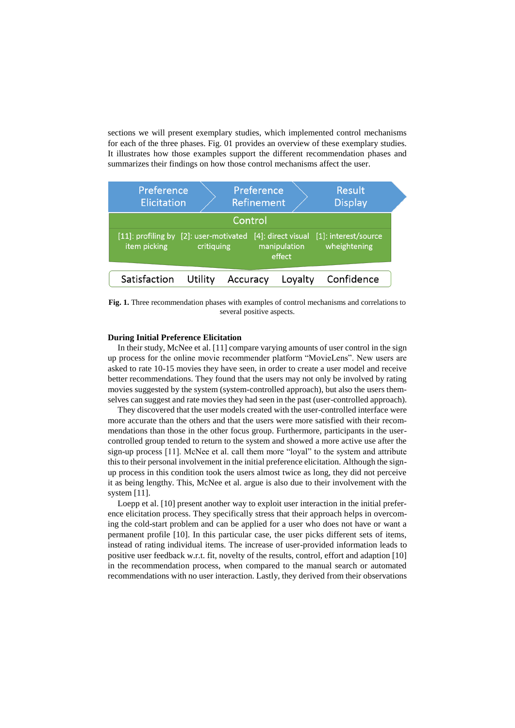sections we will present exemplary studies, which implemented control mechanisms for each of the three phases. Fig. 01 provides an overview of these exemplary studies. It illustrates how those examples support the different recommendation phases and summarizes their findings on how those control mechanisms affect the user.



**Fig. 1.** Three recommendation phases with examples of control mechanisms and correlations to several positive aspects.

### **During Initial Preference Elicitation**

In their study, McNee et al. [11] compare varying amounts of user control in the sign up process for the online movie recommender platform "MovieLens". New users are asked to rate 10-15 movies they have seen, in order to create a user model and receive better recommendations. They found that the users may not only be involved by rating movies suggested by the system (system-controlled approach), but also the users themselves can suggest and rate movies they had seen in the past (user-controlled approach).

They discovered that the user models created with the user-controlled interface were more accurate than the others and that the users were more satisfied with their recommendations than those in the other focus group. Furthermore, participants in the usercontrolled group tended to return to the system and showed a more active use after the sign-up process [11]. McNee et al. call them more "loyal" to the system and attribute this to their personal involvement in the initial preference elicitation. Although the signup process in this condition took the users almost twice as long, they did not perceive it as being lengthy. This, McNee et al. argue is also due to their involvement with the system [11].

Loepp et al. [10] present another way to exploit user interaction in the initial preference elicitation process. They specifically stress that their approach helps in overcoming the cold-start problem and can be applied for a user who does not have or want a permanent profile [10]. In this particular case, the user picks different sets of items, instead of rating individual items. The increase of user-provided information leads to positive user feedback w.r.t. fit, novelty of the results, control, effort and adaption [10] in the recommendation process, when compared to the manual search or automated recommendations with no user interaction. Lastly, they derived from their observations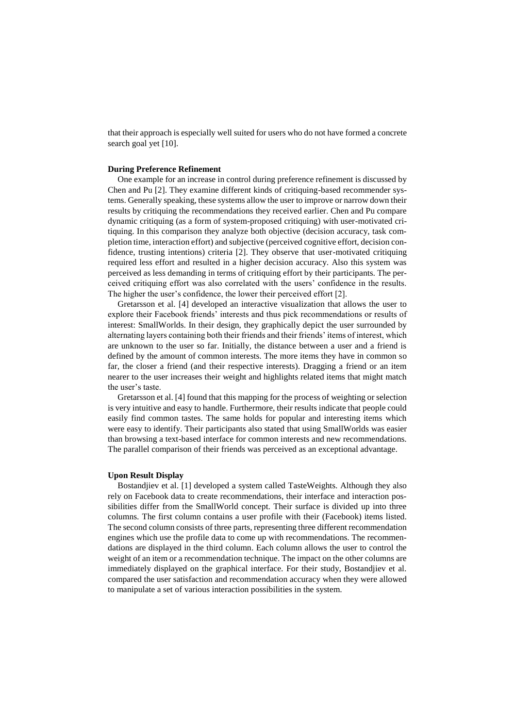that their approach is especially well suited for users who do not have formed a concrete search goal yet [10].

#### **During Preference Refinement**

One example for an increase in control during preference refinement is discussed by Chen and Pu [2]. They examine different kinds of critiquing-based recommender systems. Generally speaking, these systems allow the user to improve or narrow down their results by critiquing the recommendations they received earlier. Chen and Pu compare dynamic critiquing (as a form of system-proposed critiquing) with user-motivated critiquing. In this comparison they analyze both objective (decision accuracy, task completion time, interaction effort) and subjective (perceived cognitive effort, decision confidence, trusting intentions) criteria [2]. They observe that user-motivated critiquing required less effort and resulted in a higher decision accuracy. Also this system was perceived as less demanding in terms of critiquing effort by their participants. The perceived critiquing effort was also correlated with the users' confidence in the results. The higher the user's confidence, the lower their perceived effort [2].

Gretarsson et al. [4] developed an interactive visualization that allows the user to explore their Facebook friends' interests and thus pick recommendations or results of interest: SmallWorlds. In their design, they graphically depict the user surrounded by alternating layers containing both their friends and their friends' items of interest, which are unknown to the user so far. Initially, the distance between a user and a friend is defined by the amount of common interests. The more items they have in common so far, the closer a friend (and their respective interests). Dragging a friend or an item nearer to the user increases their weight and highlights related items that might match the user's taste.

Gretarsson et al. [4] found that this mapping for the process of weighting or selection is very intuitive and easy to handle. Furthermore, their results indicate that people could easily find common tastes. The same holds for popular and interesting items which were easy to identify. Their participants also stated that using SmallWorlds was easier than browsing a text-based interface for common interests and new recommendations. The parallel comparison of their friends was perceived as an exceptional advantage.

#### **Upon Result Display**

Bostandjiev et al. [1] developed a system called TasteWeights. Although they also rely on Facebook data to create recommendations, their interface and interaction possibilities differ from the SmallWorld concept. Their surface is divided up into three columns. The first column contains a user profile with their (Facebook) items listed. The second column consists of three parts, representing three different recommendation engines which use the profile data to come up with recommendations. The recommendations are displayed in the third column. Each column allows the user to control the weight of an item or a recommendation technique. The impact on the other columns are immediately displayed on the graphical interface. For their study, Bostandjiev et al. compared the user satisfaction and recommendation accuracy when they were allowed to manipulate a set of various interaction possibilities in the system.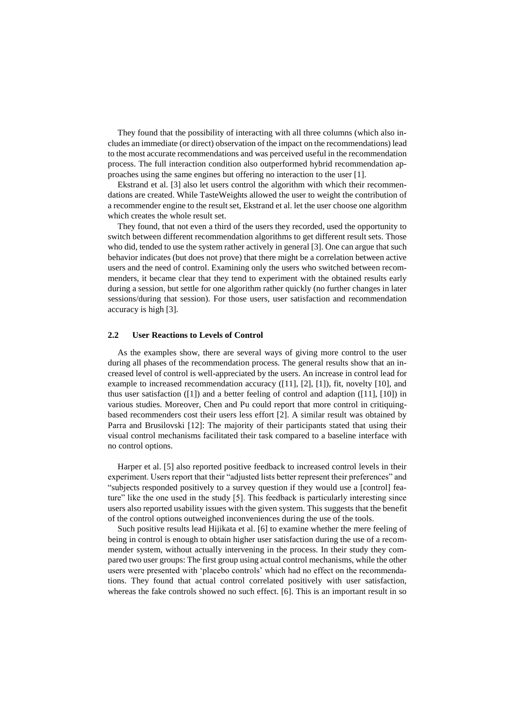They found that the possibility of interacting with all three columns (which also includes an immediate (or direct) observation of the impact on the recommendations) lead to the most accurate recommendations and was perceived useful in the recommendation process. The full interaction condition also outperformed hybrid recommendation approaches using the same engines but offering no interaction to the user [1].

Ekstrand et al. [3] also let users control the algorithm with which their recommendations are created. While TasteWeights allowed the user to weight the contribution of a recommender engine to the result set, Ekstrand et al. let the user choose one algorithm which creates the whole result set.

They found, that not even a third of the users they recorded, used the opportunity to switch between different recommendation algorithms to get different result sets. Those who did, tended to use the system rather actively in general [3]. One can argue that such behavior indicates (but does not prove) that there might be a correlation between active users and the need of control. Examining only the users who switched between recommenders, it became clear that they tend to experiment with the obtained results early during a session, but settle for one algorithm rather quickly (no further changes in later sessions/during that session). For those users, user satisfaction and recommendation accuracy is high [3].

## **2.2 User Reactions to Levels of Control**

As the examples show, there are several ways of giving more control to the user during all phases of the recommendation process. The general results show that an increased level of control is well-appreciated by the users. An increase in control lead for example to increased recommendation accuracy ([11], [2], [1]), fit, novelty [10], and thus user satisfaction  $([1])$  and a better feeling of control and adaption  $([11], [10])$  in various studies. Moreover, Chen and Pu could report that more control in critiquingbased recommenders cost their users less effort [2]. A similar result was obtained by Parra and Brusilovski [12]: The majority of their participants stated that using their visual control mechanisms facilitated their task compared to a baseline interface with no control options.

Harper et al. [5] also reported positive feedback to increased control levels in their experiment. Users report that their "adjusted lists better represent their preferences" and "subjects responded positively to a survey question if they would use a [control] feature" like the one used in the study [5]. This feedback is particularly interesting since users also reported usability issues with the given system. This suggests that the benefit of the control options outweighed inconveniences during the use of the tools.

Such positive results lead Hijikata et al. [6] to examine whether the mere feeling of being in control is enough to obtain higher user satisfaction during the use of a recommender system, without actually intervening in the process. In their study they compared two user groups: The first group using actual control mechanisms, while the other users were presented with 'placebo controls' which had no effect on the recommendations. They found that actual control correlated positively with user satisfaction, whereas the fake controls showed no such effect. [6]. This is an important result in so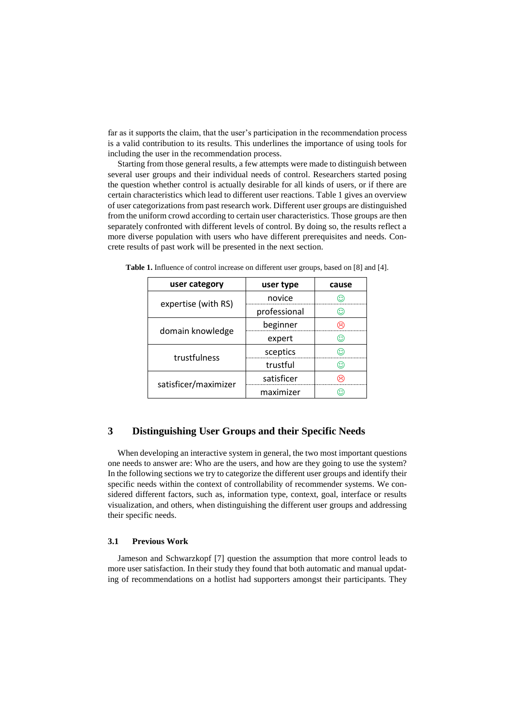far as it supports the claim, that the user's participation in the recommendation process is a valid contribution to its results. This underlines the importance of using tools for including the user in the recommendation process.

Starting from those general results, a few attempts were made to distinguish between several user groups and their individual needs of control. Researchers started posing the question whether control is actually desirable for all kinds of users, or if there are certain characteristics which lead to different user reactions. Table 1 gives an overview of user categorizations from past research work. Different user groups are distinguished from the uniform crowd according to certain user characteristics. Those groups are then separately confronted with different levels of control. By doing so, the results reflect a more diverse population with users who have different prerequisites and needs. Concrete results of past work will be presented in the next section.

| user category        | user type    | cause |
|----------------------|--------------|-------|
| expertise (with RS)  | novice       |       |
|                      | professional |       |
| domain knowledge     | beginner     |       |
|                      | expert       |       |
| trustfulness         | sceptics     |       |
|                      | trustful     |       |
| satisficer/maximizer | satisficer   |       |
|                      | maximizer    |       |

**Table 1.** Influence of control increase on different user groups, based on [8] and [4].

# **3 Distinguishing User Groups and their Specific Needs**

When developing an interactive system in general, the two most important questions one needs to answer are: Who are the users, and how are they going to use the system? In the following sections we try to categorize the different user groups and identify their specific needs within the context of controllability of recommender systems. We considered different factors, such as, information type, context, goal, interface or results visualization, and others, when distinguishing the different user groups and addressing their specific needs.

### **3.1 Previous Work**

Jameson and Schwarzkopf [7] question the assumption that more control leads to more user satisfaction. In their study they found that both automatic and manual updating of recommendations on a hotlist had supporters amongst their participants. They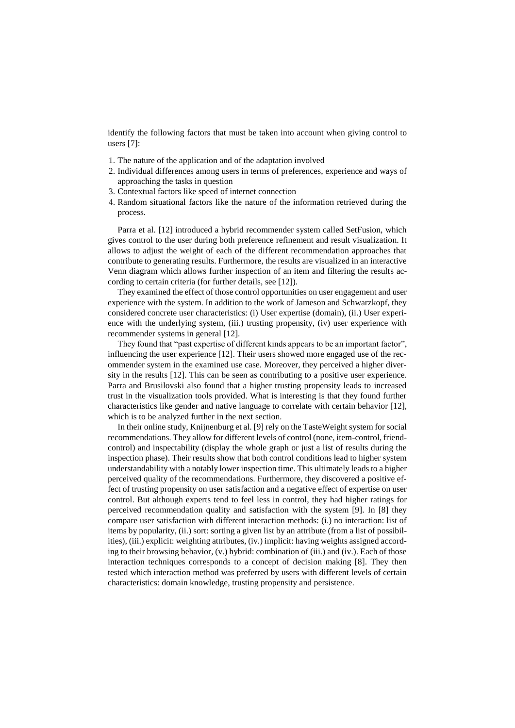identify the following factors that must be taken into account when giving control to users [7]:

- 1. The nature of the application and of the adaptation involved
- 2. Individual differences among users in terms of preferences, experience and ways of approaching the tasks in question
- 3. Contextual factors like speed of internet connection
- 4. Random situational factors like the nature of the information retrieved during the process.

Parra et al. [12] introduced a hybrid recommender system called SetFusion, which gives control to the user during both preference refinement and result visualization. It allows to adjust the weight of each of the different recommendation approaches that contribute to generating results. Furthermore, the results are visualized in an interactive Venn diagram which allows further inspection of an item and filtering the results according to certain criteria (for further details, see [12]).

They examined the effect of those control opportunities on user engagement and user experience with the system. In addition to the work of Jameson and Schwarzkopf, they considered concrete user characteristics: (i) User expertise (domain), (ii.) User experience with the underlying system, (iii.) trusting propensity, (iv) user experience with recommender systems in general [12].

They found that "past expertise of different kinds appears to be an important factor", influencing the user experience [12]. Their users showed more engaged use of the recommender system in the examined use case. Moreover, they perceived a higher diversity in the results [12]. This can be seen as contributing to a positive user experience. Parra and Brusilovski also found that a higher trusting propensity leads to increased trust in the visualization tools provided. What is interesting is that they found further characteristics like gender and native language to correlate with certain behavior [12], which is to be analyzed further in the next section.

In their online study, Knijnenburg et al. [9] rely on the TasteWeight system for social recommendations. They allow for different levels of control (none, item-control, friendcontrol) and inspectability (display the whole graph or just a list of results during the inspection phase). Their results show that both control conditions lead to higher system understandability with a notably lower inspection time. This ultimately leads to a higher perceived quality of the recommendations. Furthermore, they discovered a positive effect of trusting propensity on user satisfaction and a negative effect of expertise on user control. But although experts tend to feel less in control, they had higher ratings for perceived recommendation quality and satisfaction with the system [9]. In [8] they compare user satisfaction with different interaction methods: (i.) no interaction: list of items by popularity, (ii.) sort: sorting a given list by an attribute (from a list of possibilities), (iii.) explicit: weighting attributes, (iv.) implicit: having weights assigned according to their browsing behavior, (v.) hybrid: combination of (iii.) and (iv.). Each of those interaction techniques corresponds to a concept of decision making [8]. They then tested which interaction method was preferred by users with different levels of certain characteristics: domain knowledge, trusting propensity and persistence.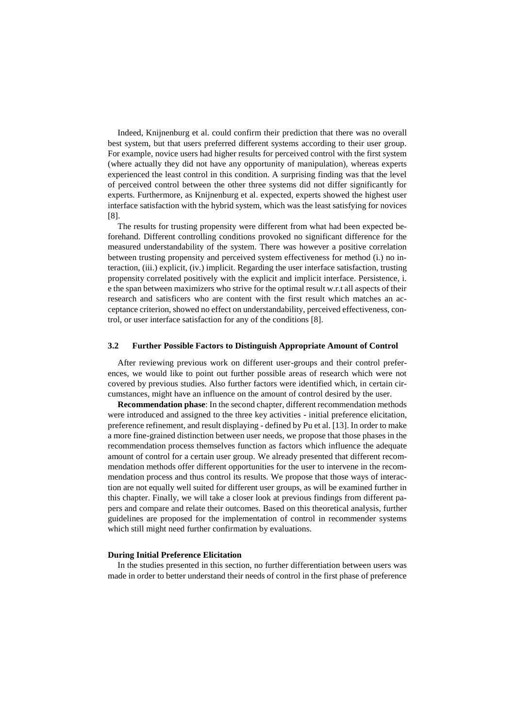Indeed, Knijnenburg et al. could confirm their prediction that there was no overall best system, but that users preferred different systems according to their user group. For example, novice users had higher results for perceived control with the first system (where actually they did not have any opportunity of manipulation), whereas experts experienced the least control in this condition. A surprising finding was that the level of perceived control between the other three systems did not differ significantly for experts. Furthermore, as Knijnenburg et al. expected, experts showed the highest user interface satisfaction with the hybrid system, which was the least satisfying for novices [8].

The results for trusting propensity were different from what had been expected beforehand. Different controlling conditions provoked no significant difference for the measured understandability of the system. There was however a positive correlation between trusting propensity and perceived system effectiveness for method (i.) no interaction, (iii.) explicit, (iv.) implicit. Regarding the user interface satisfaction, trusting propensity correlated positively with the explicit and implicit interface. Persistence, i. e the span between maximizers who strive for the optimal result w.r.t all aspects of their research and satisficers who are content with the first result which matches an acceptance criterion, showed no effect on understandability, perceived effectiveness, control, or user interface satisfaction for any of the conditions [8].

### **3.2 Further Possible Factors to Distinguish Appropriate Amount of Control**

After reviewing previous work on different user-groups and their control preferences, we would like to point out further possible areas of research which were not covered by previous studies. Also further factors were identified which, in certain circumstances, might have an influence on the amount of control desired by the user.

**Recommendation phase**: In the second chapter, different recommendation methods were introduced and assigned to the three key activities - initial preference elicitation, preference refinement, and result displaying - defined by Pu et al. [13]. In order to make a more fine-grained distinction between user needs, we propose that those phases in the recommendation process themselves function as factors which influence the adequate amount of control for a certain user group. We already presented that different recommendation methods offer different opportunities for the user to intervene in the recommendation process and thus control its results. We propose that those ways of interaction are not equally well suited for different user groups, as will be examined further in this chapter. Finally, we will take a closer look at previous findings from different papers and compare and relate their outcomes. Based on this theoretical analysis, further guidelines are proposed for the implementation of control in recommender systems which still might need further confirmation by evaluations.

### **During Initial Preference Elicitation**

In the studies presented in this section, no further differentiation between users was made in order to better understand their needs of control in the first phase of preference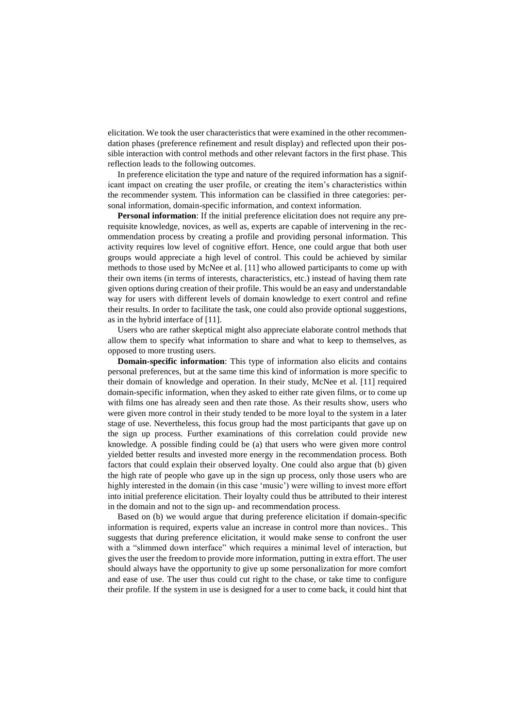elicitation. We took the user characteristics that were examined in the other recommendation phases (preference refinement and result display) and reflected upon their possible interaction with control methods and other relevant factors in the first phase. This reflection leads to the following outcomes.

In preference elicitation the type and nature of the required information has a significant impact on creating the user profile, or creating the item's characteristics within the recommender system. This information can be classified in three categories: personal information, domain-specific information, and context information.

**Personal information**: If the initial preference elicitation does not require any prerequisite knowledge, novices, as well as, experts are capable of intervening in the recommendation process by creating a profile and providing personal information. This activity requires low level of cognitive effort. Hence, one could argue that both user groups would appreciate a high level of control. This could be achieved by similar methods to those used by McNee et al. [11] who allowed participants to come up with their own items (in terms of interests, characteristics, etc.) instead of having them rate given options during creation of their profile. This would be an easy and understandable way for users with different levels of domain knowledge to exert control and refine their results. In order to facilitate the task, one could also provide optional suggestions, as in the hybrid interface of [11].

Users who are rather skeptical might also appreciate elaborate control methods that allow them to specify what information to share and what to keep to themselves, as opposed to more trusting users.

**Domain-specific information**: This type of information also elicits and contains personal preferences, but at the same time this kind of information is more specific to their domain of knowledge and operation. In their study, McNee et al. [11] required domain-specific information, when they asked to either rate given films, or to come up with films one has already seen and then rate those. As their results show, users who were given more control in their study tended to be more loyal to the system in a later stage of use. Nevertheless, this focus group had the most participants that gave up on the sign up process. Further examinations of this correlation could provide new knowledge. A possible finding could be (a) that users who were given more control yielded better results and invested more energy in the recommendation process. Both factors that could explain their observed loyalty. One could also argue that (b) given the high rate of people who gave up in the sign up process, only those users who are highly interested in the domain (in this case 'music') were willing to invest more effort into initial preference elicitation. Their loyalty could thus be attributed to their interest in the domain and not to the sign up- and recommendation process.

Based on (b) we would argue that during preference elicitation if domain-specific information is required, experts value an increase in control more than novices.. This suggests that during preference elicitation, it would make sense to confront the user with a "slimmed down interface" which requires a minimal level of interaction, but gives the user the freedom to provide more information, putting in extra effort. The user should always have the opportunity to give up some personalization for more comfort and ease of use. The user thus could cut right to the chase, or take time to configure their profile. If the system in use is designed for a user to come back, it could hint that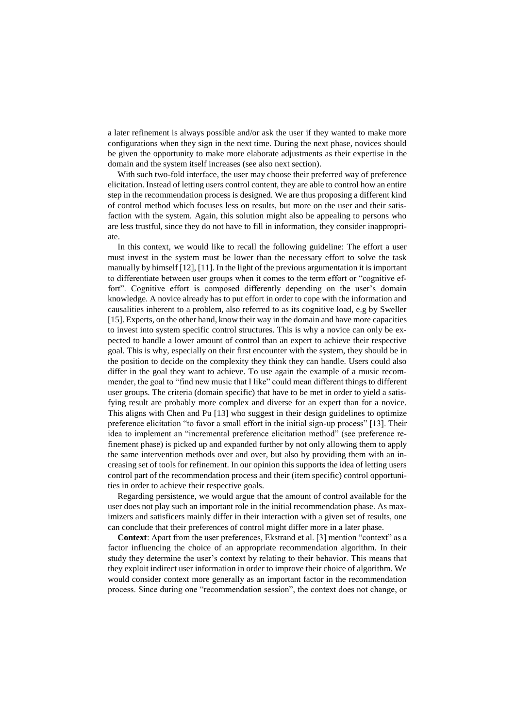a later refinement is always possible and/or ask the user if they wanted to make more configurations when they sign in the next time. During the next phase, novices should be given the opportunity to make more elaborate adjustments as their expertise in the domain and the system itself increases (see also next section).

With such two-fold interface, the user may choose their preferred way of preference elicitation. Instead of letting users control content, they are able to control how an entire step in the recommendation process is designed. We are thus proposing a different kind of control method which focuses less on results, but more on the user and their satisfaction with the system. Again, this solution might also be appealing to persons who are less trustful, since they do not have to fill in information, they consider inappropriate.

In this context, we would like to recall the following guideline: The effort a user must invest in the system must be lower than the necessary effort to solve the task manually by himself [12], [11]. In the light of the previous argumentation it is important to differentiate between user groups when it comes to the term effort or "cognitive effort". Cognitive effort is composed differently depending on the user's domain knowledge. A novice already has to put effort in order to cope with the information and causalities inherent to a problem, also referred to as its cognitive load, e.g by Sweller [15]. Experts, on the other hand, know their way in the domain and have more capacities to invest into system specific control structures. This is why a novice can only be expected to handle a lower amount of control than an expert to achieve their respective goal. This is why, especially on their first encounter with the system, they should be in the position to decide on the complexity they think they can handle. Users could also differ in the goal they want to achieve. To use again the example of a music recommender, the goal to "find new music that I like" could mean different things to different user groups. The criteria (domain specific) that have to be met in order to yield a satisfying result are probably more complex and diverse for an expert than for a novice. This aligns with Chen and Pu [13] who suggest in their design guidelines to optimize preference elicitation "to favor a small effort in the initial sign-up process" [13]. Their idea to implement an "incremental preference elicitation method" (see preference refinement phase) is picked up and expanded further by not only allowing them to apply the same intervention methods over and over, but also by providing them with an increasing set of tools for refinement. In our opinion this supports the idea of letting users control part of the recommendation process and their (item specific) control opportunities in order to achieve their respective goals.

Regarding persistence, we would argue that the amount of control available for the user does not play such an important role in the initial recommendation phase. As maximizers and satisficers mainly differ in their interaction with a given set of results, one can conclude that their preferences of control might differ more in a later phase.

**Context**: Apart from the user preferences, Ekstrand et al. [3] mention "context" as a factor influencing the choice of an appropriate recommendation algorithm. In their study they determine the user's context by relating to their behavior. This means that they exploit indirect user information in order to improve their choice of algorithm. We would consider context more generally as an important factor in the recommendation process. Since during one "recommendation session", the context does not change, or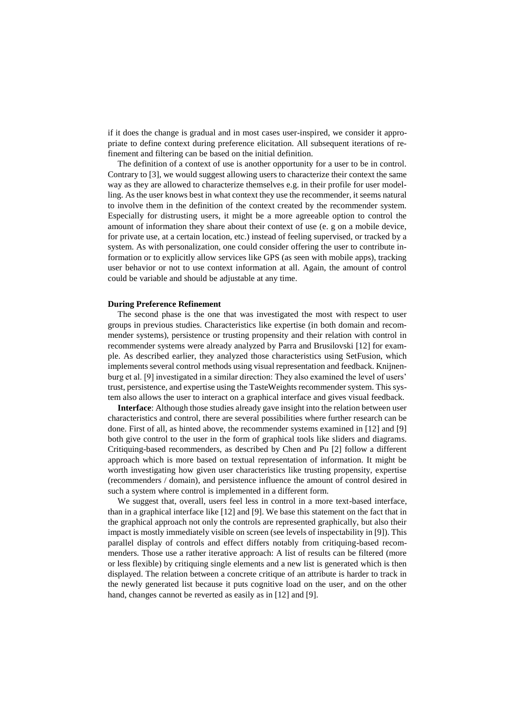if it does the change is gradual and in most cases user-inspired, we consider it appropriate to define context during preference elicitation. All subsequent iterations of refinement and filtering can be based on the initial definition.

The definition of a context of use is another opportunity for a user to be in control. Contrary to [3], we would suggest allowing users to characterize their context the same way as they are allowed to characterize themselves e.g. in their profile for user modelling. As the user knows best in what context they use the recommender, it seems natural to involve them in the definition of the context created by the recommender system. Especially for distrusting users, it might be a more agreeable option to control the amount of information they share about their context of use (e. g on a mobile device, for private use, at a certain location, etc.) instead of feeling supervised, or tracked by a system. As with personalization, one could consider offering the user to contribute information or to explicitly allow services like GPS (as seen with mobile apps), tracking user behavior or not to use context information at all. Again, the amount of control could be variable and should be adjustable at any time.

#### **During Preference Refinement**

The second phase is the one that was investigated the most with respect to user groups in previous studies. Characteristics like expertise (in both domain and recommender systems), persistence or trusting propensity and their relation with control in recommender systems were already analyzed by Parra and Brusilovski [12] for example. As described earlier, they analyzed those characteristics using SetFusion, which implements several control methods using visual representation and feedback. Knijnenburg et al. [9] investigated in a similar direction: They also examined the level of users' trust, persistence, and expertise using the TasteWeights recommender system. This system also allows the user to interact on a graphical interface and gives visual feedback.

**Interface**: Although those studies already gave insight into the relation between user characteristics and control, there are several possibilities where further research can be done. First of all, as hinted above, the recommender systems examined in [12] and [9] both give control to the user in the form of graphical tools like sliders and diagrams. Critiquing-based recommenders, as described by Chen and Pu [2] follow a different approach which is more based on textual representation of information. It might be worth investigating how given user characteristics like trusting propensity, expertise (recommenders / domain), and persistence influence the amount of control desired in such a system where control is implemented in a different form.

We suggest that, overall, users feel less in control in a more text-based interface, than in a graphical interface like [12] and [9]. We base this statement on the fact that in the graphical approach not only the controls are represented graphically, but also their impact is mostly immediately visible on screen (see levels of inspectability in [9]). This parallel display of controls and effect differs notably from critiquing-based recommenders. Those use a rather iterative approach: A list of results can be filtered (more or less flexible) by critiquing single elements and a new list is generated which is then displayed. The relation between a concrete critique of an attribute is harder to track in the newly generated list because it puts cognitive load on the user, and on the other hand, changes cannot be reverted as easily as in [12] and [9].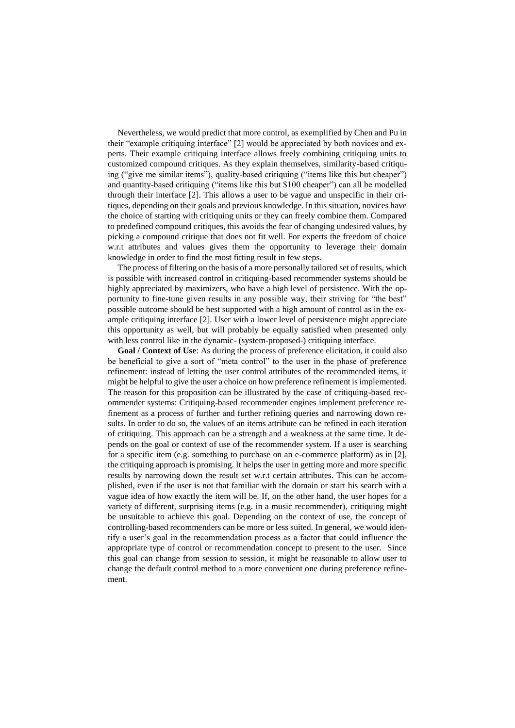Nevertheless, we would predict that more control, as exemplified by Chen and Pu in their "example critiquing interface" [2] would be appreciated by both novices and experts. Their example critiquing interface allows freely combining critiquing units to customized compound critiques. As they explain themselves, similarity-based critiquing ("give me similar items"), quality-based critiquing ("items like this but cheaper") and quantity-based critiquing ("items like this but \$100 cheaper") can all be modelled through their interface [2]. This allows a user to be vague and unspecific in their critiques, depending on their goals and previous knowledge. In this situation, novices have the choice of starting with critiquing units or they can freely combine them. Compared to predefined compound critiques, this avoids the fear of changing undesired values, by picking a compound critique that does not fit well. For experts the freedom of choice w.r.t attributes and values gives them the opportunity to leverage their domain knowledge in order to find the most fitting result in few steps.

The process of filtering on the basis of a more personally tailored set of results, which is possible with increased control in critiquing-based recommender systems should be highly appreciated by maximizers, who have a high level of persistence. With the opportunity to fine-tune given results in any possible way, their striving for "the best" possible outcome should be best supported with a high amount of control as in the example critiquing interface [2]. User with a lower level of persistence might appreciate this opportunity as well, but will probably be equally satisfied when presented only with less control like in the dynamic- (system-proposed-) critiquing interface.

**Goal / Context of Use**: As during the process of preference elicitation, it could also be beneficial to give a sort of "meta control" to the user in the phase of preference refinement: instead of letting the user control attributes of the recommended items, it might be helpful to give the user a choice on how preference refinement is implemented. The reason for this proposition can be illustrated by the case of critiquing-based recommender systems: Critiquing-based recommender engines implement preference refinement as a process of further and further refining queries and narrowing down results. In order to do so, the values of an items attribute can be refined in each iteration of critiquing. This approach can be a strength and a weakness at the same time. It depends on the goal or context of use of the recommender system. If a user is searching for a specific item (e.g. something to purchase on an e-commerce platform) as in [2], the critiquing approach is promising. It helps the user in getting more and more specific results by narrowing down the result set w.r.t certain attributes. This can be accomplished, even if the user is not that familiar with the domain or start his search with a vague idea of how exactly the item will be. If, on the other hand, the user hopes for a variety of different, surprising items (e.g. in a music recommender), critiquing might be unsuitable to achieve this goal. Depending on the context of use, the concept of controlling-based recommenders can be more or less suited. In general, we would identify a user's goal in the recommendation process as a factor that could influence the appropriate type of control or recommendation concept to present to the user. Since this goal can change from session to session, it might be reasonable to allow user to change the default control method to a more convenient one during preference refinement.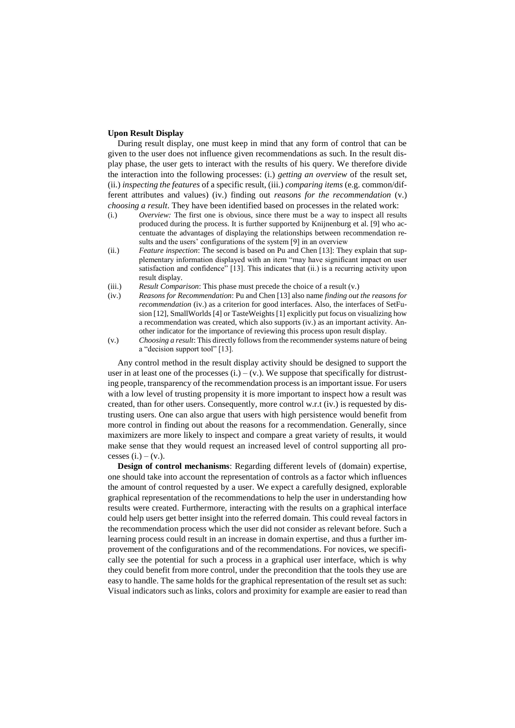### **Upon Result Display**

During result display, one must keep in mind that any form of control that can be given to the user does not influence given recommendations as such. In the result display phase, the user gets to interact with the results of his query. We therefore divide the interaction into the following processes: (i.) *getting an overview* of the result set, (ii.) *inspecting the features* of a specific result, (iii.) *comparing items* (e.g. common/different attributes and values) (iv.) finding out *reasons for the recommendation* (v.) *choosing a result*. They have been identified based on processes in the related work:

- (i.) *Overview:* The first one is obvious, since there must be a way to inspect all results produced during the process. It is further supported by Knijnenburg et al. [9] who accentuate the advantages of displaying the relationships between recommendation results and the users' configurations of the system [9] in an overview
- (ii.) *Feature inspection*: The second is based on Pu and Chen [13]: They explain that supplementary information displayed with an item "may have significant impact on user satisfaction and confidence" [13]. This indicates that (ii.) is a recurring activity upon result display.
- (iii.) *Result Comparison*: This phase must precede the choice of a result (v.)
- (iv.) *Reasons for Recommendation*: Pu and Chen [13] also name *finding out the reasons for recommendation* (iv.) as a criterion for good interfaces. Also, the interfaces of SetFusion [12], SmallWorlds [4] or TasteWeights [1] explicitly put focus on visualizing how a recommendation was created, which also supports (iv.) as an important activity. Another indicator for the importance of reviewing this process upon result display.
- (v.) *Choosing a result*: This directly follows from the recommender systems nature of being a "decision support tool" [13].

Any control method in the result display activity should be designed to support the user in at least one of the processes  $(i.) - (v.)$ . We suppose that specifically for distrusting people, transparency of the recommendation process is an important issue. For users with a low level of trusting propensity it is more important to inspect how a result was created, than for other users. Consequently, more control w.r.t (iv.) is requested by distrusting users. One can also argue that users with high persistence would benefit from more control in finding out about the reasons for a recommendation. Generally, since maximizers are more likely to inspect and compare a great variety of results, it would make sense that they would request an increased level of control supporting all processes  $(i.) - (v.).$ 

**Design of control mechanisms**: Regarding different levels of (domain) expertise, one should take into account the representation of controls as a factor which influences the amount of control requested by a user. We expect a carefully designed, explorable graphical representation of the recommendations to help the user in understanding how results were created. Furthermore, interacting with the results on a graphical interface could help users get better insight into the referred domain. This could reveal factors in the recommendation process which the user did not consider as relevant before. Such a learning process could result in an increase in domain expertise, and thus a further improvement of the configurations and of the recommendations. For novices, we specifically see the potential for such a process in a graphical user interface, which is why they could benefit from more control, under the precondition that the tools they use are easy to handle. The same holds for the graphical representation of the result set as such: Visual indicators such as links, colors and proximity for example are easier to read than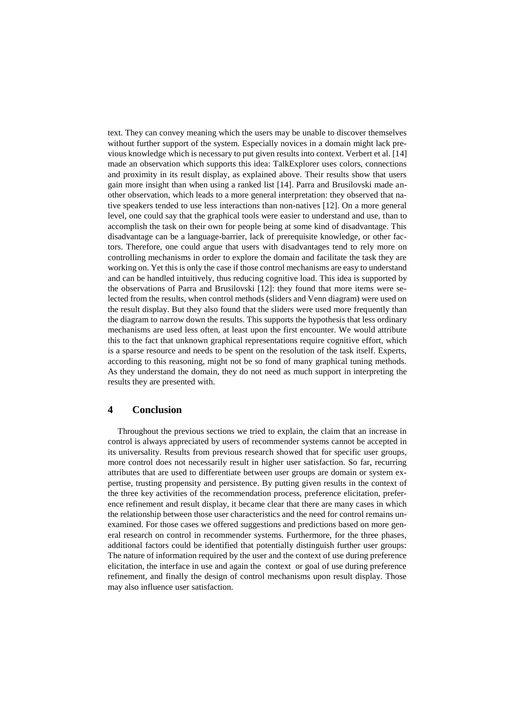text. They can convey meaning which the users may be unable to discover themselves without further support of the system. Especially novices in a domain might lack previous knowledge which is necessary to put given results into context. Verbert et al. [14] made an observation which supports this idea: TalkExplorer uses colors, connections and proximity in its result display, as explained above. Their results show that users gain more insight than when using a ranked list [14]. Parra and Brusilovski made another observation, which leads to a more general interpretation: they observed that native speakers tended to use less interactions than non-natives [12]. On a more general level, one could say that the graphical tools were easier to understand and use, than to accomplish the task on their own for people being at some kind of disadvantage. This disadvantage can be a language-barrier, lack of prerequisite knowledge, or other factors. Therefore, one could argue that users with disadvantages tend to rely more on controlling mechanisms in order to explore the domain and facilitate the task they are working on. Yet this is only the case if those control mechanisms are easy to understand and can be handled intuitively, thus reducing cognitive load. This idea is supported by the observations of Parra and Brusilovski [12]: they found that more items were selected from the results, when control methods (sliders and Venn diagram) were used on the result display. But they also found that the sliders were used more frequently than the diagram to narrow down the results. This supports the hypothesis that less ordinary mechanisms are used less often, at least upon the first encounter. We would attribute this to the fact that unknown graphical representations require cognitive effort, which is a sparse resource and needs to be spent on the resolution of the task itself. Experts, according to this reasoning, might not be so fond of many graphical tuning methods. As they understand the domain, they do not need as much support in interpreting the results they are presented with.

# **4 Conclusion**

Throughout the previous sections we tried to explain, the claim that an increase in control is always appreciated by users of recommender systems cannot be accepted in its universality. Results from previous research showed that for specific user groups, more control does not necessarily result in higher user satisfaction. So far, recurring attributes that are used to differentiate between user groups are domain or system expertise, trusting propensity and persistence. By putting given results in the context of the three key activities of the recommendation process, preference elicitation, preference refinement and result display, it became clear that there are many cases in which the relationship between those user characteristics and the need for control remains unexamined. For those cases we offered suggestions and predictions based on more general research on control in recommender systems. Furthermore, for the three phases, additional factors could be identified that potentially distinguish further user groups: The nature of information required by the user and the context of use during preference elicitation, the interface in use and again the context or goal of use during preference refinement, and finally the design of control mechanisms upon result display. Those may also influence user satisfaction.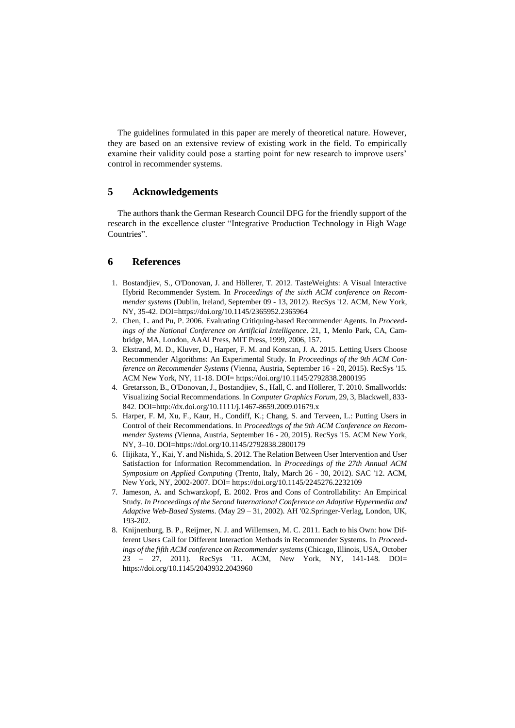The guidelines formulated in this paper are merely of theoretical nature. However, they are based on an extensive review of existing work in the field. To empirically examine their validity could pose a starting point for new research to improve users' control in recommender systems.

# **5 Acknowledgements**

The authors thank the German Research Council DFG for the friendly support of the research in the excellence cluster "Integrative Production Technology in High Wage Countries".

# **6 References**

- 1. Bostandjiev, S., O'Donovan, J. and Höllerer, T. 2012. TasteWeights: A Visual Interactive Hybrid Recommender System. In *Proceedings of the sixth ACM conference on Recommender systems* (Dublin, Ireland, September 09 - 13, 2012). RecSys '12. ACM, New York, NY, 35-42. DOI[=https://doi.org/10.1145/2365952.2365964](https://doi.org/10.1145/2365952.2365964)
- 2. Chen, L. and Pu, P. 2006. Evaluating Critiquing-based Recommender Agents. In *Proceedings of the National Conference on Artificial Intelligence*. 21, 1, Menlo Park, CA, Cambridge, MA, London, AAAI Press, MIT Press, 1999, 2006, 157.
- 3. Ekstrand, M. D., Kluver, D., Harper, F. M. and Konstan, J. A. 2015. Letting Users Choose Recommender Algorithms: An Experimental Study. In *Proceedings of the 9th ACM Conference on Recommender Systems* (Vienna, Austria, September 16 - 20, 2015). RecSys '15. ACM New York, NY, 11-18. DOI=<https://doi.org/10.1145/2792838.2800195>
- 4. Gretarsson, B., O'Donovan, J., Bostandjiev, S., Hall, C. and Höllerer, T. 2010. Smallworlds: Visualizing Social Recommendations. In *Computer Graphics Forum*, 29, 3, Blackwell, 833- 842. DOI[=http://dx.doi.org/10.1111/j.1467-8659.2009.01679.x](http://dx.doi.org/10.1111/j.1467-8659.2009.01679.x)
- 5. Harper, F. M, Xu, F., Kaur, H., Condiff, K.; Chang, S. and Terveen, L.: Putting Users in Control of their Recommendations. In *Proceedings of the 9th ACM Conference on Recommender Systems (*Vienna, Austria, September 16 - 20, 2015). RecSys '15. ACM New York, NY, 3–10. DOI[=https://doi.org/10.1145/2792838.2800179](https://doi.org/10.1145/2792838.2800179)
- 6. Hijikata, Y., Kai, Y. and Nishida, S. 2012. The Relation Between User Intervention and User Satisfaction for Information Recommendation. In *Proceedings of the 27th Annual ACM Symposium on Applied Computing* (Trento, Italy, March 26 - 30, 2012). SAC '12. ACM, New York, NY, 2002-2007. DOI[= https://doi.org/10.1145/2245276.2232109](https://doi.org/10.1145/2245276.2232109)
- 7. Jameson, A. and Schwarzkopf, E. 2002. Pros and Cons of Controllability: An Empirical Study. *In Proceedings of the Second International Conference on Adaptive Hypermedia and Adaptive Web-Based Systems*. (May 29 – 31, 2002). AH '02.Springer-Verlag, London, UK, 193-202.
- 8. Knijnenburg, B. P., Reijmer, N. J. and Willemsen, M. C. 2011. Each to his Own: how Different Users Call for Different Interaction Methods in Recommender Systems. In *Proceedings of the fifth ACM conference on Recommender systems* (Chicago, Illinois, USA, October 23 – 27, 2011). RecSys '11. ACM, New York, NY, 141-148. DOI= <https://doi.org/10.1145/2043932.2043960>